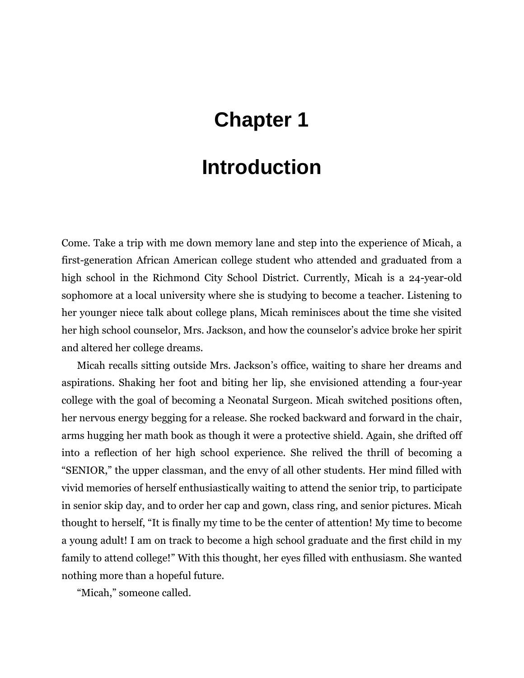## **Chapter 1**

## **Introduction**

Come. Take a trip with me down memory lane and step into the experience of Micah, a first-generation African American college student who attended and graduated from a high school in the Richmond City School District. Currently, Micah is a 24-year-old sophomore at a local university where she is studying to become a teacher. Listening to her younger niece talk about college plans, Micah reminisces about the time she visited her high school counselor, Mrs. Jackson, and how the counselor's advice broke her spirit and altered her college dreams.

Micah recalls sitting outside Mrs. Jackson's office, waiting to share her dreams and aspirations. Shaking her foot and biting her lip, she envisioned attending a four-year college with the goal of becoming a Neonatal Surgeon. Micah switched positions often, her nervous energy begging for a release. She rocked backward and forward in the chair, arms hugging her math book as though it were a protective shield. Again, she drifted off into a reflection of her high school experience. She relived the thrill of becoming a "SENIOR," the upper classman, and the envy of all other students. Her mind filled with vivid memories of herself enthusiastically waiting to attend the senior trip, to participate in senior skip day, and to order her cap and gown, class ring, and senior pictures. Micah thought to herself, "It is finally my time to be the center of attention! My time to become a young adult! I am on track to become a high school graduate and the first child in my family to attend college!" With this thought, her eyes filled with enthusiasm. She wanted nothing more than a hopeful future.

"Micah," someone called.